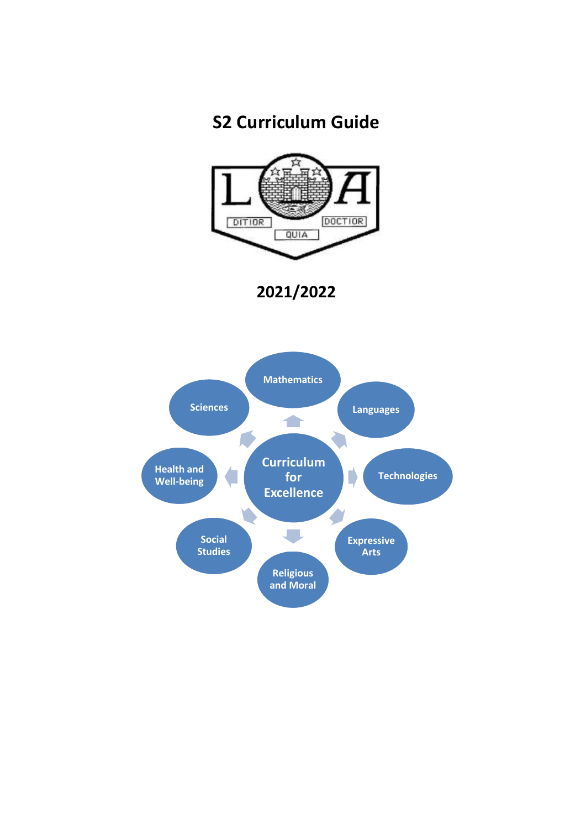# **S2 Curriculum Guide**



**2021/2022**

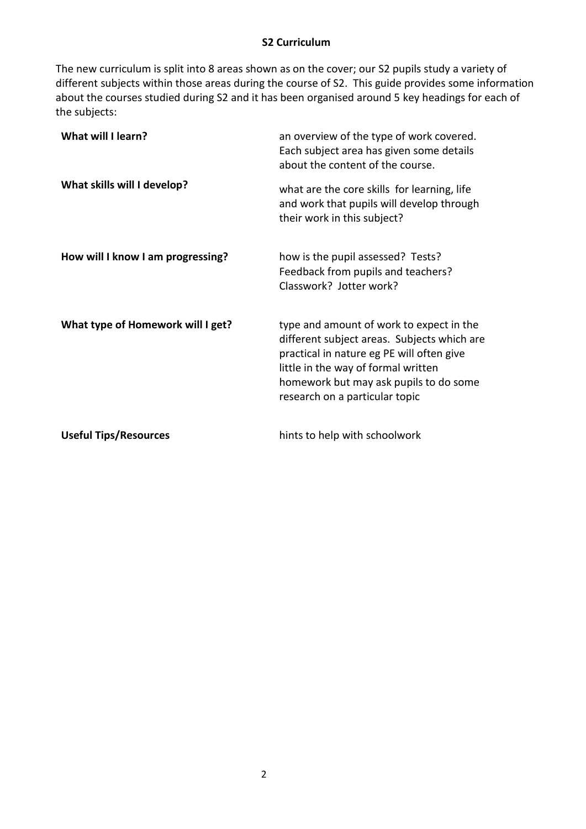#### **S2 Curriculum**

The new curriculum is split into 8 areas shown as on the cover; our S2 pupils study a variety of different subjects within those areas during the course of S2. This guide provides some information about the courses studied during S2 and it has been organised around 5 key headings for each of the subjects:

| What will I learn?                | an overview of the type of work covered.<br>Each subject area has given some details<br>about the content of the course.                                                                                                                                |
|-----------------------------------|---------------------------------------------------------------------------------------------------------------------------------------------------------------------------------------------------------------------------------------------------------|
| What skills will I develop?       | what are the core skills for learning, life<br>and work that pupils will develop through<br>their work in this subject?                                                                                                                                 |
| How will I know I am progressing? | how is the pupil assessed? Tests?<br>Feedback from pupils and teachers?<br>Classwork? Jotter work?                                                                                                                                                      |
| What type of Homework will I get? | type and amount of work to expect in the<br>different subject areas. Subjects which are<br>practical in nature eg PE will often give<br>little in the way of formal written<br>homework but may ask pupils to do some<br>research on a particular topic |
| <b>Useful Tips/Resources</b>      | hints to help with schoolwork                                                                                                                                                                                                                           |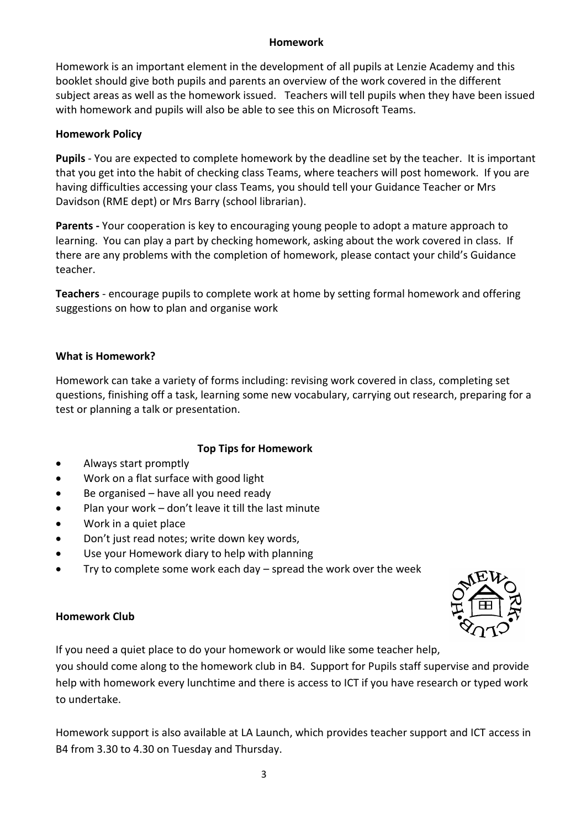#### **Homework**

Homework is an important element in the development of all pupils at Lenzie Academy and this booklet should give both pupils and parents an overview of the work covered in the different subject areas as well as the homework issued. Teachers will tell pupils when they have been issued with homework and pupils will also be able to see this on Microsoft Teams.

# **Homework Policy**

**Pupils** - You are expected to complete homework by the deadline set by the teacher. It is important that you get into the habit of checking class Teams, where teachers will post homework. If you are having difficulties accessing your class Teams, you should tell your Guidance Teacher or Mrs Davidson (RME dept) or Mrs Barry (school librarian).

**Parents -** Your cooperation is key to encouraging young people to adopt a mature approach to learning. You can play a part by checking homework, asking about the work covered in class. If there are any problems with the completion of homework, please contact your child's Guidance teacher.

**Teachers** - encourage pupils to complete work at home by setting formal homework and offering suggestions on how to plan and organise work

# **What is Homework?**

Homework can take a variety of forms including: revising work covered in class, completing set questions, finishing off a task, learning some new vocabulary, carrying out research, preparing for a test or planning a talk or presentation.

# **Top Tips for Homework**

- Always start promptly
- Work on a flat surface with good light
- $\bullet$  Be organised have all you need ready
- Plan your work don't leave it till the last minute
- Work in a quiet place
- Don't just read notes; write down key words,
- Use your Homework diary to help with planning
- Try to complete some work each day spread the work over the week



## **Homework Club**

If you need a quiet place to do your homework or would like some teacher help,

you should come along to the homework club in B4. Support for Pupils staff supervise and provide help with homework every lunchtime and there is access to ICT if you have research or typed work to undertake.

Homework support is also available at LA Launch, which provides teacher support and ICT access in B4 from 3.30 to 4.30 on Tuesday and Thursday.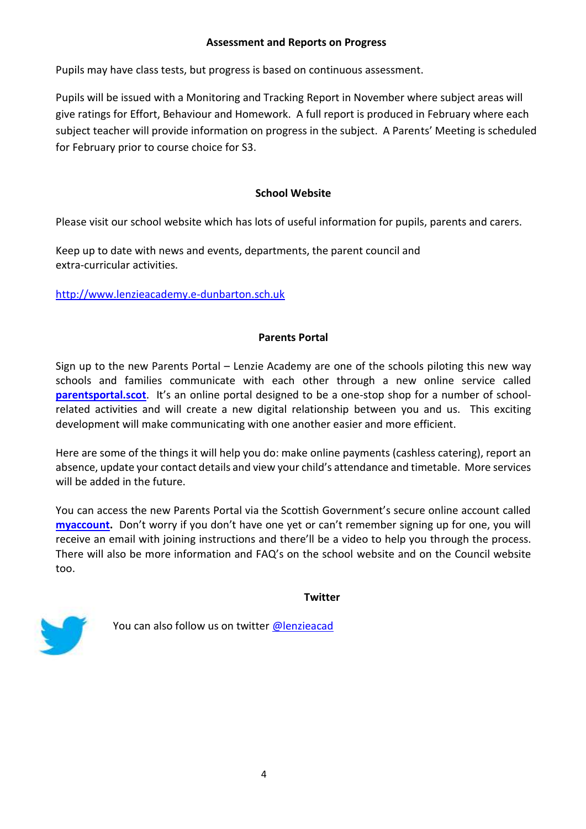#### **Assessment and Reports on Progress**

Pupils may have class tests, but progress is based on continuous assessment.

Pupils will be issued with a Monitoring and Tracking Report in November where subject areas will give ratings for Effort, Behaviour and Homework. A full report is produced in February where each subject teacher will provide information on progress in the subject. A Parents' Meeting is scheduled for February prior to course choice for S3.

# **School Website**

Please visit our school website which has lots of useful information for pupils, parents and carers.

Keep up to date with news and events, departments, the parent council and extra-curricular activities.

[http://www.lenzieacademy.e-dunbarton.sch.uk](http://www.lenzieacademy.e-dunbarton.sch.uk/page_viewer.asp?page=Home&pid=1)

# **Parents Portal**

Sign up to the new Parents Portal – Lenzie Academy are one of the schools piloting this new way schools and families communicate with each other through a new online service called **[parentsportal.scot](https://parentsportal.scot/home/)**. It's an online portal designed to be a one-stop shop for a number of schoolrelated activities and will create a new digital relationship between you and us. This exciting development will make communicating with one another easier and more efficient.

Here are some of the things it will help you do: make online payments (cashless catering), report an absence, update your contact details and view your child's attendance and timetable. More services will be added in the future.

You can access the new Parents Portal via the Scottish Government's secure online account called **[myaccount.](https://signin.mygovscot.org/home/?sp=register/CAS)** Don't worry if you don't have one yet or can't remember signing up for one, you will receive an email with joining instructions and there'll be a video to help you through the process. There will also be more information and FAQ's on the school website and on the Council website too.

#### **Twitter**



You can also follow us on twitter [@lenzieacad](https://twitter.com/lenzieacad)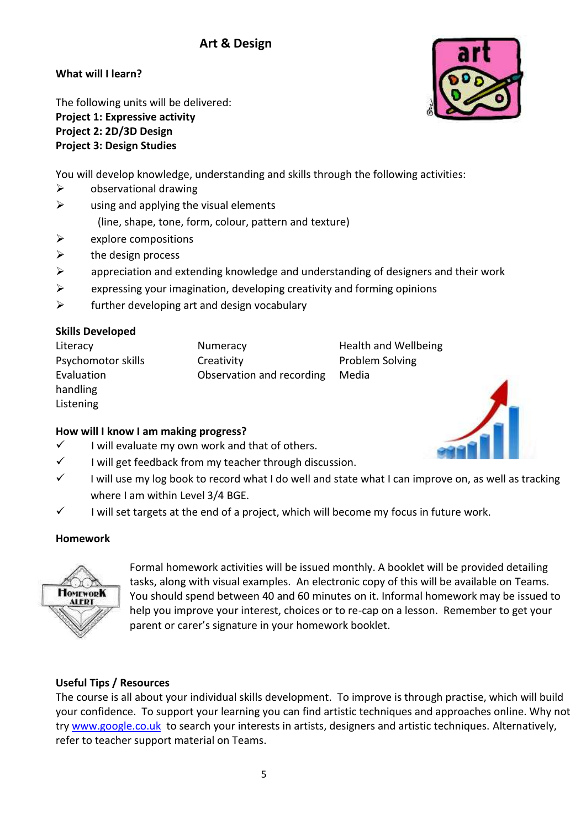# **Art & Design**

**What will I learn?**

The following units will be delivered: **Project 1: Expressive activity Project 2: 2D/3D Design Project 3: Design Studies**

You will develop knowledge, understanding and skills through the following activities:

- $\triangleright$  observational drawing
- $\triangleright$  using and applying the visual elements (line, shape, tone, form, colour, pattern and texture)
- $\triangleright$  explore compositions
- $\triangleright$  the design process
- $\triangleright$  appreciation and extending knowledge and understanding of designers and their work
- $\triangleright$  expressing your imagination, developing creativity and forming opinions
- $\triangleright$  further developing art and design vocabulary

# **Skills Developed**

| Literacy           | Numeracy                  | <b>Health and Wellbeing</b> |
|--------------------|---------------------------|-----------------------------|
| Psychomotor skills | Creativity                | <b>Problem Solving</b>      |
| Evaluation         | Observation and recording | Media                       |
| handling           |                           |                             |
| Listening          |                           |                             |

## **How will I know I am making progress?**

- $\checkmark$  I will evaluate my own work and that of others.
- $\checkmark$  I will get feedback from my teacher through discussion.
- $\checkmark$  I will use my log book to record what I do well and state what I can improve on, as well as tracking where I am within Level 3/4 BGE.
- $\checkmark$  I will set targets at the end of a project, which will become my focus in future work.

## **Homework**



Formal homework activities will be issued monthly. A booklet will be provided detailing tasks, along with visual examples. An electronic copy of this will be available on Teams. You should spend between 40 and 60 minutes on it. Informal homework may be issued to help you improve your interest, choices or to re-cap on a lesson. Remember to get your parent or carer's signature in your homework booklet.

# **Useful Tips / Resources**

The course is all about your individual skills development. To improve is through practise, which will build your confidence. To support your learning you can find artistic techniques and approaches online. Why not try [www.google.co.uk](http://www.google.co.uk/) to search your interests in artists, designers and artistic techniques. Alternatively, refer to teacher support material on Teams.



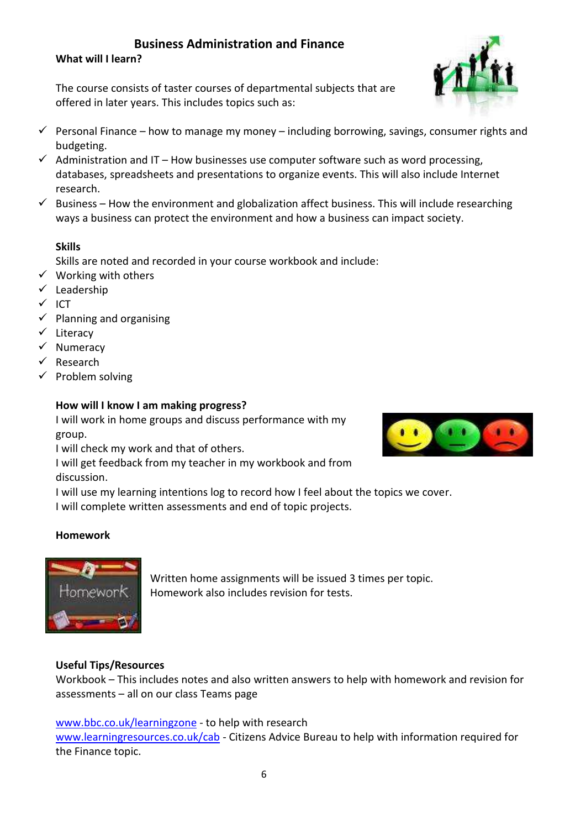# **Business Administration and Finance**

**What will I learn?**

The course consists of taster courses of departmental subjects that are offered in later years. This includes topics such as:

- $\checkmark$  Personal Finance how to manage my money including borrowing, savings, consumer rights and budgeting.
- $\checkmark$  Administration and IT How businesses use computer software such as word processing, databases, spreadsheets and presentations to organize events. This will also include Internet research.
- $\checkmark$  Business How the environment and globalization affect business. This will include researching ways a business can protect the environment and how a business can impact society.

# **Skills**

Skills are noted and recorded in your course workbook and include:

- $\checkmark$  Working with others
- $\checkmark$  Leadership
- $\checkmark$  ICT
- $\checkmark$  Planning and organising
- $\checkmark$  Literacy
- $\checkmark$  Numeracy
- $\checkmark$  Research
- $\checkmark$  Problem solving

# **How will I know I am making progress?**

I will work in home groups and discuss performance with my group.

I will check my work and that of others.

I will get feedback from my teacher in my workbook and from discussion.

I will use my learning intentions log to record how I feel about the topics we cover.

I will complete written assessments and end of topic projects.

# **Homework**



Written home assignments will be issued 3 times per topic. Homework also includes revision for tests.

# **Useful Tips/Resources**

Workbook – This includes notes and also written answers to help with homework and revision for assessments – all on our class Teams page

[www.bbc.co.uk/learningzone](http://www.bbc.co.uk/learningzone) - to help with research

[www.learningresources.co.uk/cab](http://www.learningresources.co.uk/cab) - Citizens Advice Bureau to help with information required for the Finance topic.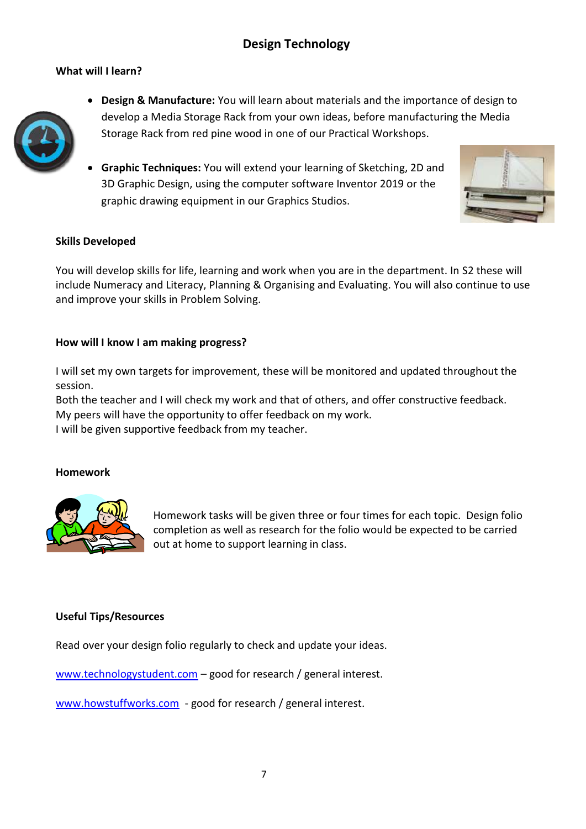# **Design Technology**

#### **What will I learn?**



- **Design & Manufacture:** You will learn about materials and the importance of design to develop a Media Storage Rack from your own ideas, before manufacturing the Media Storage Rack from red pine wood in one of our Practical Workshops.
- **Graphic Techniques:** You will extend your learning of Sketching, 2D and 3D Graphic Design, using the computer software Inventor 2019 or the graphic drawing equipment in our Graphics Studios.



#### **Skills Developed**

You will develop skills for life, learning and work when you are in the department. In S2 these will include Numeracy and Literacy, Planning & Organising and Evaluating. You will also continue to use and improve your skills in Problem Solving.

#### **How will I know I am making progress?**

I will set my own targets for improvement, these will be monitored and updated throughout the session.

Both the teacher and I will check my work and that of others, and offer constructive feedback. My peers will have the opportunity to offer feedback on my work. I will be given supportive feedback from my teacher.

#### **Homework**



Homework tasks will be given three or four times for each topic. Design folio completion as well as research for the folio would be expected to be carried out at home to support learning in class.

#### **Useful Tips/Resources**

Read over your design folio regularly to check and update your ideas.

[www.technologystudent.com](http://www.technologystudent.com/) – good for research / general interest.

[www.howstuffworks.com](http://www.howstuffworks.com/) - good for research / general interest.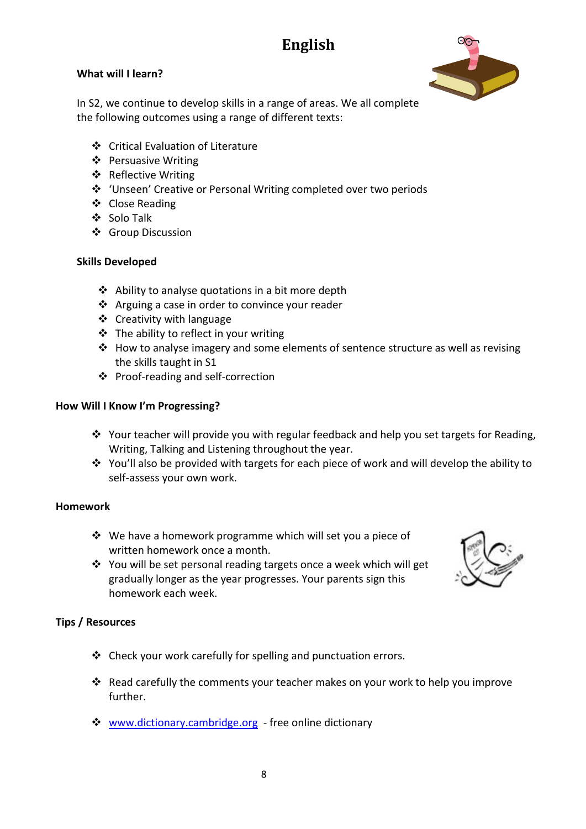# **English**

# **What will I learn?**



In S2, we continue to develop skills in a range of areas. We all complete the following outcomes using a range of different texts:

- Critical Evaluation of Literature
- ❖ Persuasive Writing
- ❖ Reflective Writing
- 'Unseen' Creative or Personal Writing completed over two periods
- ❖ Close Reading
- ❖ Solo Talk
- ❖ Group Discussion

#### **Skills Developed**

- $\triangle$  Ability to analyse quotations in a bit more depth
- ❖ Arguing a case in order to convince your reader
- Creativity with language
- $\div$  The ability to reflect in your writing
- How to analyse imagery and some elements of sentence structure as well as revising the skills taught in S1
- ❖ Proof-reading and self-correction

#### **How Will I Know I'm Progressing?**

- \* Your teacher will provide you with regular feedback and help you set targets for Reading, Writing, Talking and Listening throughout the year.
- You'll also be provided with targets for each piece of work and will develop the ability to self-assess your own work.

#### **Homework**

- $\div$  We have a homework programme which will set you a piece of written homework once a month.
- ❖ You will be set personal reading targets once a week which will get gradually longer as the year progresses. Your parents sign this homework each week.



#### **Tips / Resources**

- Check your work carefully for spelling and punctuation errors.
- Read carefully the comments your teacher makes on your work to help you improve further.
- [www.dictionary.cambridge.org](http://www.dictionary.cambridge.org/)  free online dictionary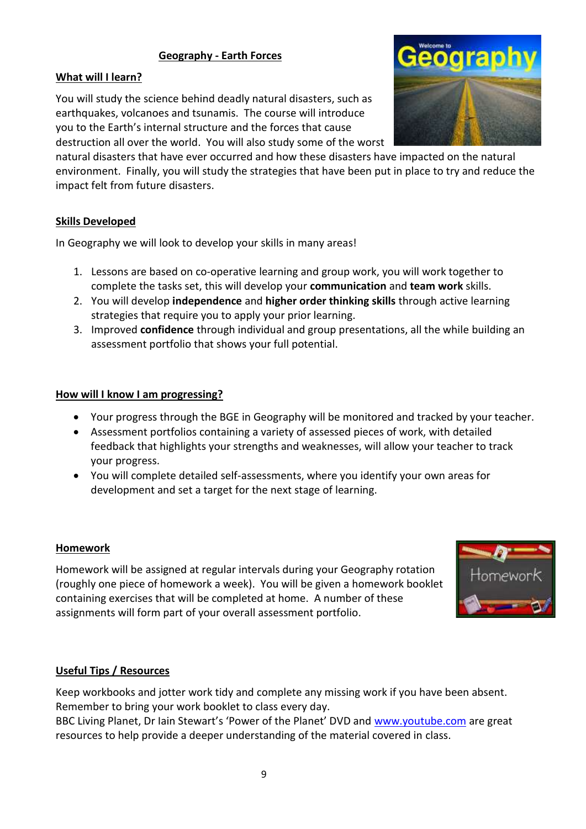# **Geography - Earth Forces**

# **What will I learn?**

You will study the science behind deadly natural disasters, such as earthquakes, volcanoes and tsunamis. The course will introduce you to the Earth's internal structure and the forces that cause destruction all over the world. You will also study some of the worst



natural disasters that have ever occurred and how these disasters have impacted on the natural environment. Finally, you will study the strategies that have been put in place to try and reduce the impact felt from future disasters.

#### **Skills Developed**

In Geography we will look to develop your skills in many areas!

- 1. Lessons are based on co-operative learning and group work, you will work together to complete the tasks set, this will develop your **communication** and **team work** skills.
- 2. You will develop **independence** and **higher order thinking skills** through active learning strategies that require you to apply your prior learning.
- 3. Improved **confidence** through individual and group presentations, all the while building an assessment portfolio that shows your full potential.

#### **How will I know I am progressing?**

- Your progress through the BGE in Geography will be monitored and tracked by your teacher.
- Assessment portfolios containing a variety of assessed pieces of work, with detailed feedback that highlights your strengths and weaknesses, will allow your teacher to track your progress.
- You will complete detailed self-assessments, where you identify your own areas for development and set a target for the next stage of learning.

#### **Homework**

Homework will be assigned at regular intervals during your Geography rotation (roughly one piece of homework a week). You will be given a homework booklet containing exercises that will be completed at home. A number of these assignments will form part of your overall assessment portfolio.



## **Useful Tips / Resources**

Keep workbooks and jotter work tidy and complete any missing work if you have been absent. Remember to bring your work booklet to class every day.

BBC Living Planet, Dr Iain Stewart's 'Power of the Planet' DVD and [www.youtube.com](http://www.youtube.com/) are great resources to help provide a deeper understanding of the material covered in class.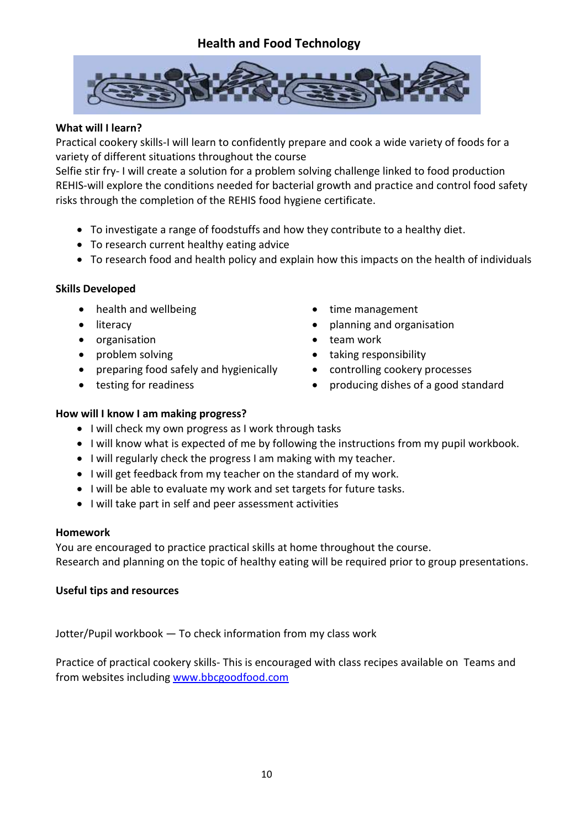# **Health and Food Technology**



#### **What will I learn?**

Practical cookery skills-I will learn to confidently prepare and cook a wide variety of foods for a variety of different situations throughout the course

Selfie stir fry- I will create a solution for a problem solving challenge linked to food production REHIS-will explore the conditions needed for bacterial growth and practice and control food safety risks through the completion of the REHIS food hygiene certificate.

- To investigate a range of foodstuffs and how they contribute to a healthy diet.
- To research current healthy eating advice
- To research food and health policy and explain how this impacts on the health of individuals

#### **Skills Developed**

- health and wellbeing the state of time management
- 
- organisation **the set of the set of the set of the set of the set of the set of the set of the set of the set of the set of the set of the set of the set of the set of the set of the set of the set of the set of the set**
- 
- preparing food safely and hygienically controlling cookery processes
- 
- 
- literacy **planning and organisation** 
	-
- problem solving and the set of taking responsibility
	-
- testing for readiness **exercise in the set of a good standard**

#### **How will I know I am making progress?**

- I will check my own progress as I work through tasks
- I will know what is expected of me by following the instructions from my pupil workbook.
- I will regularly check the progress I am making with my teacher.
- I will get feedback from my teacher on the standard of my work.
- I will be able to evaluate my work and set targets for future tasks.
- I will take part in self and peer assessment activities

#### **Homework**

You are encouraged to practice practical skills at home throughout the course. Research and planning on the topic of healthy eating will be required prior to group presentations.

#### **Useful tips and resources**

Jotter/Pupil workbook — To check information from my class work

Practice of practical cookery skills- This is encouraged with class recipes available on Teams and from websites including [www.bbcgoodfood.com](http://www.bbcgoodfood.com/)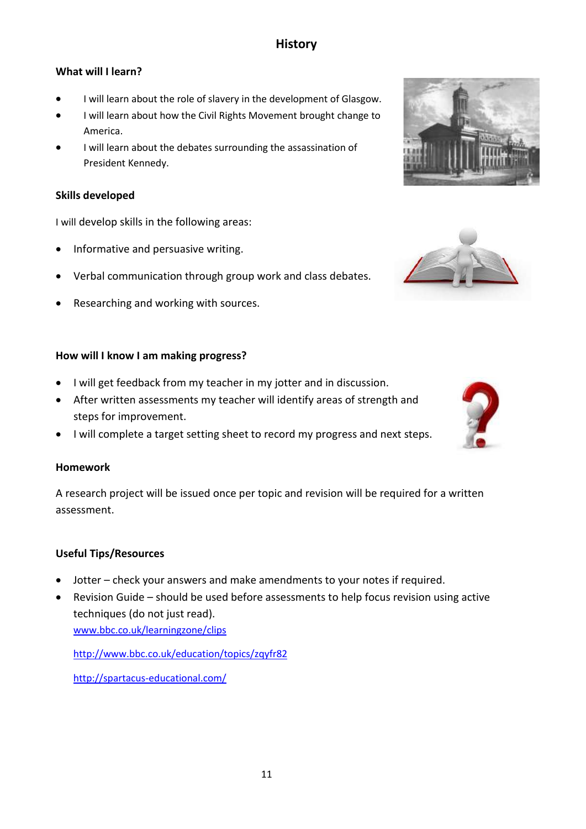# **History**

# **What will I learn?**

- I will learn about the role of slavery in the development of Glasgow.
- I will learn about how the Civil Rights Movement brought change to America.
- I will learn about the debates surrounding the assassination of President Kennedy.

#### **Skills developed**

I will develop skills in the following areas:

- Informative and persuasive writing.
- Verbal communication through group work and class debates.
- Researching and working with sources.

#### **How will I know I am making progress?**

- I will get feedback from my teacher in my jotter and in discussion.
- After written assessments my teacher will identify areas of strength and steps for improvement.
- I will complete a target setting sheet to record my progress and next steps.

#### **Homework**

A research project will be issued once per topic and revision will be required for a written assessment.

## **Useful Tips/Resources**

- Jotter check your answers and make amendments to your notes if required.
- Revision Guide should be used before assessments to help focus revision using active techniques (do not just read). [www.bbc.co.uk/learningzone/clips](http://www.bbc.co.uk/learningzone/clips)

<http://www.bbc.co.uk/education/topics/zqyfr82>

<http://spartacus-educational.com/>





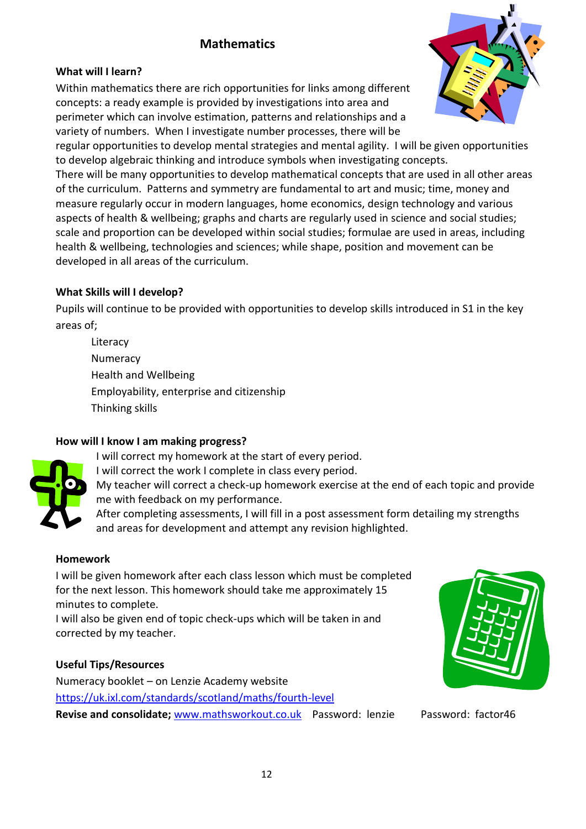# **Mathematics**

# **What will I learn?**

Within mathematics there are rich opportunities for links among different concepts: a ready example is provided by investigations into area and perimeter which can involve estimation, patterns and relationships and a variety of numbers. When I investigate number processes, there will be



regular opportunities to develop mental strategies and mental agility. I will be given opportunities to develop algebraic thinking and introduce symbols when investigating concepts.

There will be many opportunities to develop mathematical concepts that are used in all other areas of the curriculum. Patterns and symmetry are fundamental to art and music; time, money and measure regularly occur in modern languages, home economics, design technology and various aspects of health & wellbeing; graphs and charts are regularly used in science and social studies; scale and proportion can be developed within social studies; formulae are used in areas, including health & wellbeing, technologies and sciences; while shape, position and movement can be developed in all areas of the curriculum.

# **What Skills will I develop?**

Pupils will continue to be provided with opportunities to develop skills introduced in S1 in the key areas of;

Literacy Numeracy Health and Wellbeing Employability, enterprise and citizenship Thinking skills

## **How will I know I am making progress?**

- I will correct my homework at the start of every period.
- I will correct the work I complete in class every period.
- My teacher will correct a check-up homework exercise at the end of each topic and provide me with feedback on my performance.

After completing assessments, I will fill in a post assessment form detailing my strengths and areas for development and attempt any revision highlighted.

## **Homework**

I will be given homework after each class lesson which must be completed for the next lesson. This homework should take me approximately 15 minutes to complete.

I will also be given end of topic check-ups which will be taken in and corrected by my teacher.

## **Useful Tips/Resources**

Numeracy booklet – on Lenzie Academy website <https://uk.ixl.com/standards/scotland/maths/fourth-level> Revise and consolidate; [www.mathsworkout.co.uk](http://www.mathsworkout.co.uk/) Password: lenzie Password: factor46

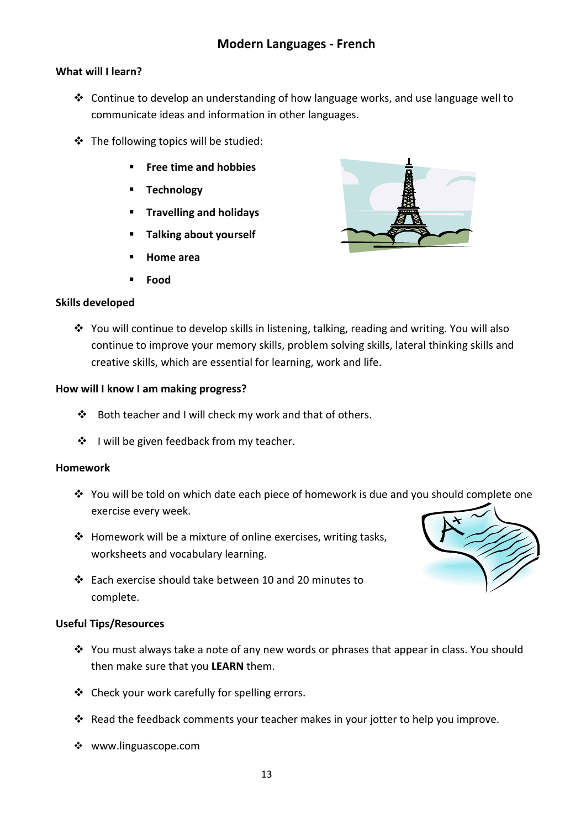# **What will I learn?**

- Continue to develop an understanding of how language works, and use language well to communicate ideas and information in other languages.
- The following topics will be studied:
	- **Free time and hobbies**
	- **Technology**
	- **Travelling and holidays**
	- **Talking about yourself**
	- **Home area**
	- **Food**

## **Skills developed**



❖ You will continue to develop skills in listening, talking, reading and writing. You will also continue to improve your memory skills, problem solving skills, lateral thinking skills and creative skills, which are essential for learning, work and life.

#### **How will I know I am making progress?**

- Both teacher and I will check my work and that of others.
- ❖ I will be given feedback from my teacher.

#### **Homework**

- \* You will be told on which date each piece of homework is due and you should complete one exercise every week.
- $\cdot \cdot$  Homework will be a mixture of online exercises, writing tasks, worksheets and vocabulary learning.
- Each exercise should take between 10 and 20 minutes to complete.

#### **Useful Tips/Resources**

- \* You must always take a note of any new words or phrases that appear in class. You should then make sure that you **LEARN** them.
- ❖ Check your work carefully for spelling errors.
- \* Read the feedback comments your teacher makes in your jotter to help you improve.
- www.linguascope.com

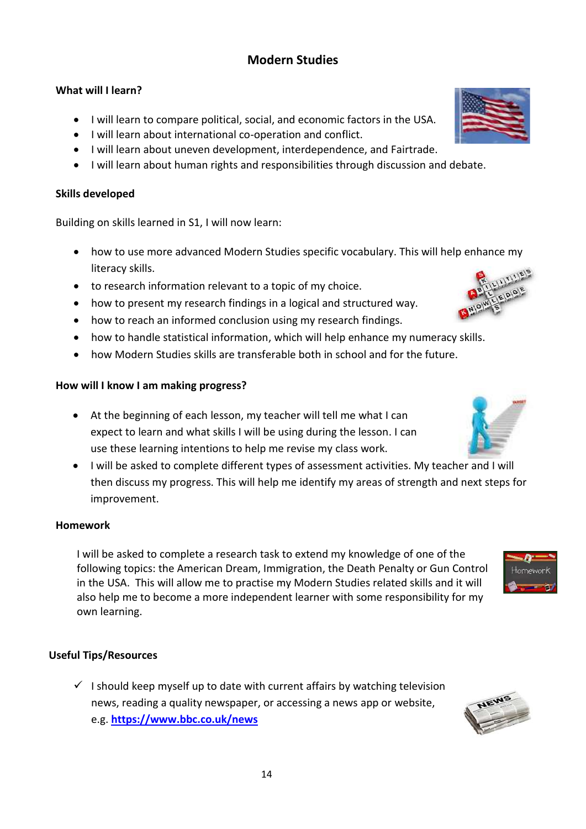# **Modern Studies**

# **What will I learn?**

- I will learn to compare political, social, and economic factors in the USA.
- I will learn about international co-operation and conflict.
- I will learn about uneven development, interdependence, and Fairtrade.
- I will learn about human rights and responsibilities through discussion and debate.

# **Skills developed**

Building on skills learned in S1, I will now learn:

- how to use more advanced Modern Studies specific vocabulary. This will help enhance my literacy skills.
- to research information relevant to a topic of my choice.
- how to present my research findings in a logical and structured way.
- how to reach an informed conclusion using my research findings.
- how to handle statistical information, which will help enhance my numeracy skills.
- how Modern Studies skills are transferable both in school and for the future.

## **How will I know I am making progress?**

- At the beginning of each lesson, my teacher will tell me what I can expect to learn and what skills I will be using during the lesson. I can use these learning intentions to help me revise my class work.
- I will be asked to complete different types of assessment activities. My teacher and I will then discuss my progress. This will help me identify my areas of strength and next steps for improvement.

## **Homework**

I will be asked to complete a research task to extend my knowledge of one of the following topics: the American Dream, Immigration, the Death Penalty or Gun Control in the USA. This will allow me to practise my Modern Studies related skills and it will also help me to become a more independent learner with some responsibility for my own learning.

# **Useful Tips/Resources**

 $\checkmark$  I should keep myself up to date with current affairs by watching television news, reading a quality newspaper, or accessing a news app or website, e.g. **<https://www.bbc.co.uk/news>**







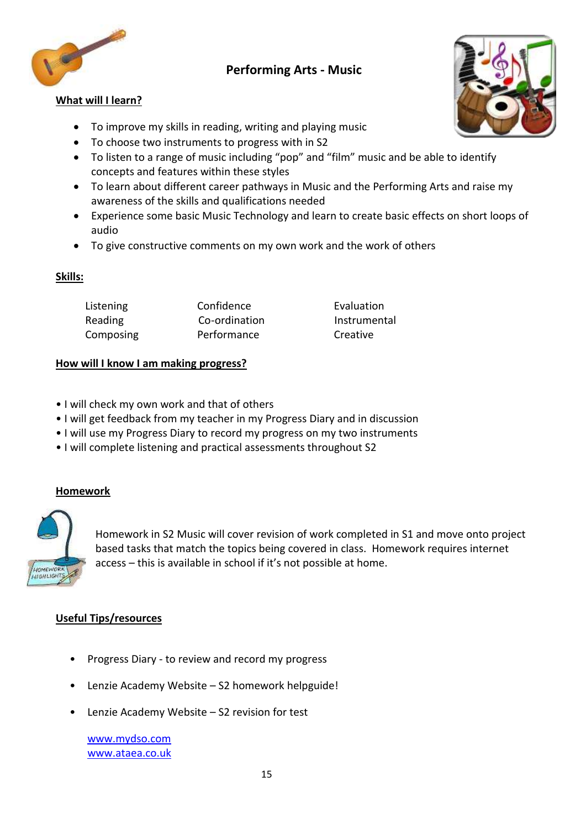

# **Performing Arts - Music**

#### **What will I learn?**

- To improve my skills in reading, writing and playing music
- To choose two instruments to progress with in S2
- To listen to a range of music including "pop" and "film" music and be able to identify concepts and features within these styles
- To learn about different career pathways in Music and the Performing Arts and raise my awareness of the skills and qualifications needed
- Experience some basic Music Technology and learn to create basic effects on short loops of audio
- To give constructive comments on my own work and the work of others

#### **Skills:**

| Listening | Confidence    | Evaluati       |
|-----------|---------------|----------------|
| Reading   | Co-ordination | <b>Instrum</b> |
| Composing | Performance   | Creative       |

Evaluation **Instrumental** 

#### **How will I know I am making progress?**

- I will check my own work and that of others
- I will get feedback from my teacher in my Progress Diary and in discussion
- I will use my Progress Diary to record my progress on my two instruments
- I will complete listening and practical assessments throughout S2

#### **Homework**



Homework in S2 Music will cover revision of work completed in S1 and move onto project based tasks that match the topics being covered in class. Homework requires internet access – this is available in school if it's not possible at home.

#### **Useful Tips/resources**

- Progress Diary to review and record my progress
- Lenzie Academy Website S2 homework helpguide!
- Lenzie Academy Website S2 revision for test

[www.mydso.com](http://www.mydso.com/) [www.ataea.co.uk](http://www.ataea.co.uk/)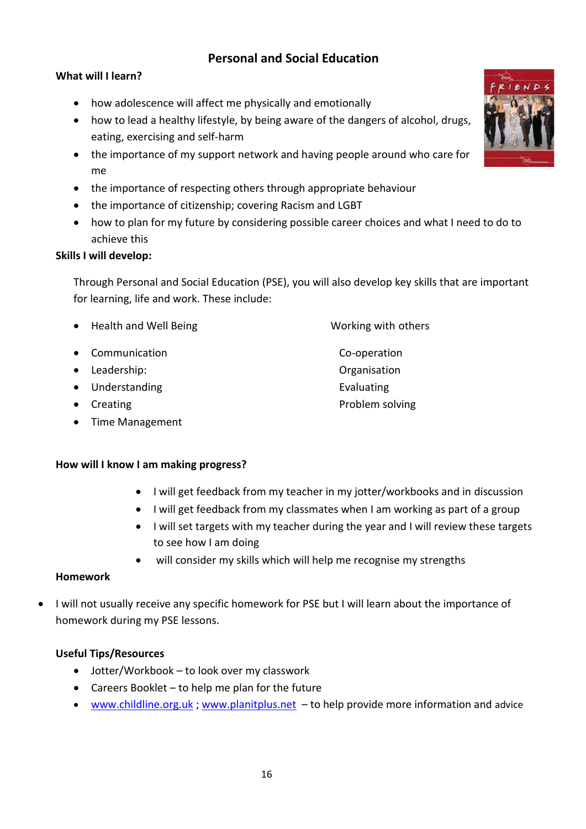# **Personal and Social Education**

# **What will I learn?**

- how adolescence will affect me physically and emotionally
- how to lead a healthy lifestyle, by being aware of the dangers of alcohol, drugs, eating, exercising and self-harm
- the importance of my support network and having people around who care for me
- the importance of respecting others through appropriate behaviour
- the importance of citizenship; covering Racism and LGBT
- how to plan for my future by considering possible career choices and what I need to do to achieve this

## **Skills I will develop:**

Through Personal and Social Education (PSE), you will also develop key skills that are important for learning, life and work. These include:

- Health and Well Being Working with others
- Communication Co-operation
- Leadership: Organisation
- Understanding example and the Evaluating example of the Evaluating
- 
- Time Management

## **How will I know I am making progress?**

- I will get feedback from my teacher in my jotter/workbooks and in discussion
- I will get feedback from my classmates when I am working as part of a group
- I will set targets with my teacher during the year and I will review these targets to see how I am doing
- will consider my skills which will help me recognise my strengths

## **Homework**

 I will not usually receive any specific homework for PSE but I will learn about the importance of homework during my PSE lessons.

## **Useful Tips/Resources**

- Jotter/Workbook to look over my classwork
- Careers Booklet to help me plan for the future
- [www.childline.org.uk](http://www.childline.org.uk/); [www.planitplus.net](http://www.planitplus.net/)  to help provide more information and advice



• Creating **Problem solving**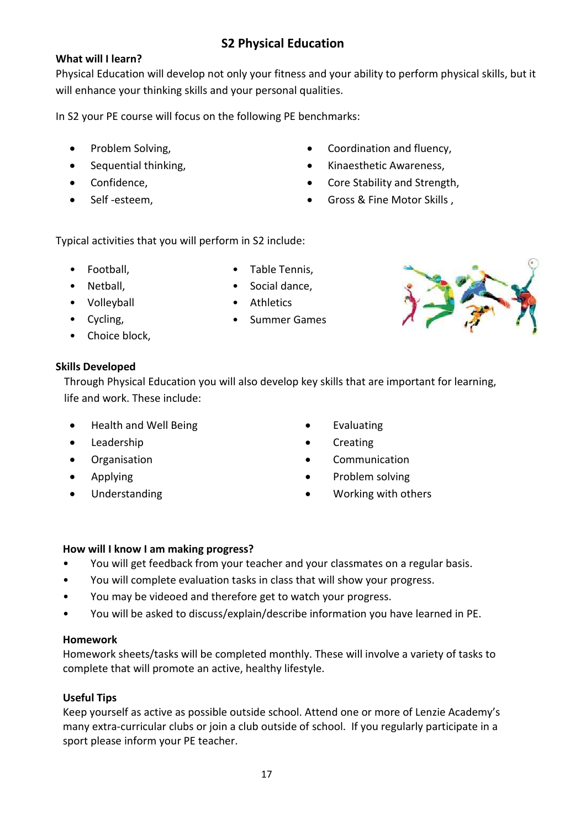# **S2 Physical Education**

# **What will I learn?**

Physical Education will develop not only your fitness and your ability to perform physical skills, but it will enhance your thinking skills and your personal qualities.

In S2 your PE course will focus on the following PE benchmarks:

- Problem Solving,
- Sequential thinking,
- Confidence,
- Self-esteem,
- Coordination and fluency,
- Kinaesthetic Awareness.
- Core Stability and Strength,
- Gross & Fine Motor Skills ,

Typical activities that you will perform in S2 include:

- Football,
- Netball,
- Volleyball
- Cycling,
- Choice block,

# **Skills Developed**

Through Physical Education you will also develop key skills that are important for learning, life and work. These include:

- Health and Well Being
- Leadership
- **•** Organisation
- Applying
- Understanding

• Social dance, • Athletics

• Table Tennis,

• Summer Games



- Evaluating
- **Creating**
- Communication
- Problem solving
- Working with others

## **How will I know I am making progress?**

- You will get feedback from your teacher and your classmates on a regular basis.
- You will complete evaluation tasks in class that will show your progress.
- You may be videoed and therefore get to watch your progress.
- You will be asked to discuss/explain/describe information you have learned in PE.

## **Homework**

Homework sheets/tasks will be completed monthly. These will involve a variety of tasks to complete that will promote an active, healthy lifestyle.

# **Useful Tips**

Keep yourself as active as possible outside school. Attend one or more of Lenzie Academy's many extra-curricular clubs or join a club outside of school. If you regularly participate in a sport please inform your PE teacher.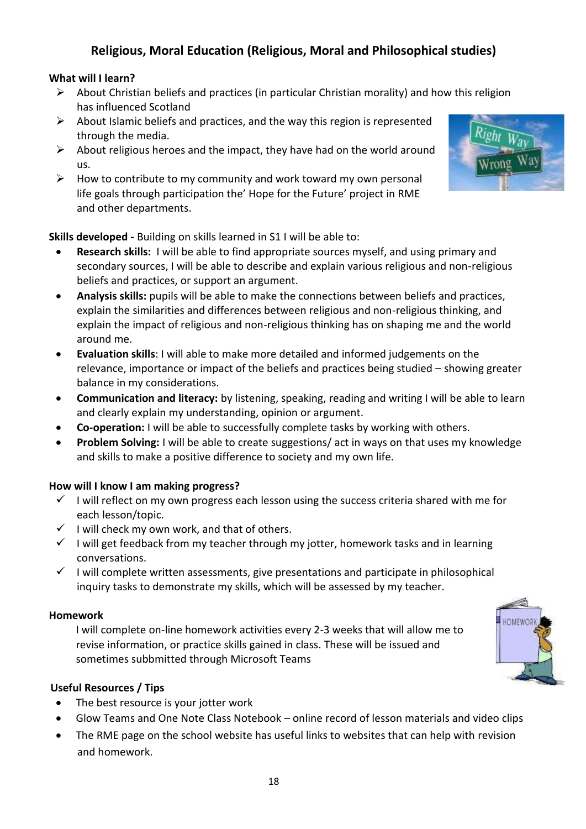# **Religious, Moral Education (Religious, Moral and Philosophical studies)**

# **What will I learn?**

- $\triangleright$  About Christian beliefs and practices (in particular Christian morality) and how this religion has influenced Scotland
- $\triangleright$  About Islamic beliefs and practices, and the way this region is represented through the media.
- $\triangleright$  About religious heroes and the impact, they have had on the world around us.
- $\triangleright$  How to contribute to my community and work toward my own personal life goals through participation the' Hope for the Future' project in RME and other departments.

**Skills developed -** Building on skills learned in S1 I will be able to:

- **Research skills:** I will be able to find appropriate sources myself, and using primary and secondary sources, I will be able to describe and explain various religious and non-religious beliefs and practices, or support an argument.
- **Analysis skills:** pupils will be able to make the connections between beliefs and practices, explain the similarities and differences between religious and non-religious thinking, and explain the impact of religious and non-religious thinking has on shaping me and the world around me.
- **Evaluation skills**: I will able to make more detailed and informed judgements on the relevance, importance or impact of the beliefs and practices being studied – showing greater balance in my considerations.
- **Communication and literacy:** by listening, speaking, reading and writing I will be able to learn and clearly explain my understanding, opinion or argument.
- **Co-operation:** I will be able to successfully complete tasks by working with others.
- **Problem Solving:** I will be able to create suggestions/ act in ways on that uses my knowledge and skills to make a positive difference to society and my own life.

## **How will I know I am making progress?**

- $\checkmark$  I will reflect on my own progress each lesson using the success criteria shared with me for each lesson/topic.
- $\checkmark$  I will check my own work, and that of others.
- $\checkmark$  I will get feedback from my teacher through my jotter, homework tasks and in learning conversations.
- $\checkmark$  I will complete written assessments, give presentations and participate in philosophical inquiry tasks to demonstrate my skills, which will be assessed by my teacher.

#### **Homework**

I will complete on-line homework activities every 2-3 weeks that will allow me to revise information, or practice skills gained in class. These will be issued and sometimes subbmitted through Microsoft Teams



## **Useful Resources / Tips**

- The best resource is your jotter work
- Glow Teams and One Note Class Notebook online record of lesson materials and video clips
- The RME page on the school website has useful links to websites that can help with revision and homework.